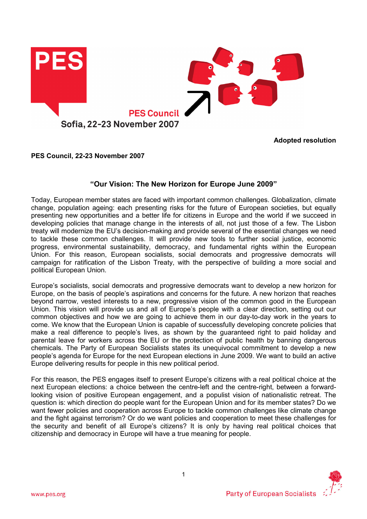

Adopted resolution

PES Council, 22-23 November 2007

# "Our Vision: The New Horizon for Europe June 2009"

Today, European member states are faced with important common challenges. Globalization, climate change, population ageing: each presenting risks for the future of European societies, but equally presenting new opportunities and a better life for citizens in Europe and the world if we succeed in developing policies that manage change in the interests of all, not just those of a few. The Lisbon treaty will modernize the EU's decision-making and provide several of the essential changes we need to tackle these common challenges. It will provide new tools to further social justice, economic progress, environmental sustainability, democracy, and fundamental rights within the European Union. For this reason, European socialists, social democrats and progressive democrats will campaign for ratification of the Lisbon Treaty, with the perspective of building a more social and political European Union.

Europe's socialists, social democrats and progressive democrats want to develop a new horizon for Europe, on the basis of people's aspirations and concerns for the future. A new horizon that reaches beyond narrow, vested interests to a new, progressive vision of the common good in the European Union. This vision will provide us and all of Europe's people with a clear direction, setting out our common objectives and how we are going to achieve them in our day-to-day work in the years to come. We know that the European Union is capable of successfully developing concrete policies that make a real difference to people's lives, as shown by the guaranteed right to paid holiday and parental leave for workers across the EU or the protection of public health by banning dangerous chemicals. The Party of European Socialists states its unequivocal commitment to develop a new people's agenda for Europe for the next European elections in June 2009. We want to build an active Europe delivering results for people in this new political period.

For this reason, the PES engages itself to present Europe's citizens with a real political choice at the next European elections: a choice between the centre-left and the centre-right, between a forwardlooking vision of positive European engagement, and a populist vision of nationalistic retreat. The question is: which direction do people want for the European Union and for its member states? Do we want fewer policies and cooperation across Europe to tackle common challenges like climate change and the fight against terrorism? Or do we want policies and cooperation to meet these challenges for the security and benefit of all Europe's citizens? It is only by having real political choices that citizenship and democracy in Europe will have a true meaning for people.

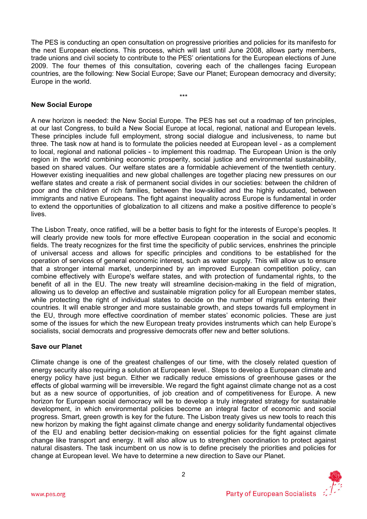The PES is conducting an open consultation on progressive priorities and policies for its manifesto for the next European elections. This process, which will last until June 2008, allows party members, trade unions and civil society to contribute to the PES' orientations for the European elections of June 2009. The four themes of this consultation, covering each of the challenges facing European countries, are the following: New Social Europe; Save our Planet; European democracy and diversity; Europe in the world.

\*\*\*

## New Social Europe

A new horizon is needed: the New Social Europe. The PES has set out a roadmap of ten principles, at our last Congress, to build a New Social Europe at local, regional, national and European levels. These principles include full employment, strong social dialogue and inclusiveness, to name but three. The task now at hand is to formulate the policies needed at European level - as a complement to local, regional and national policies - to implement this roadmap. The European Union is the only region in the world combining economic prosperity, social justice and environmental sustainability, based on shared values. Our welfare states are a formidable achievement of the twentieth century. However existing inequalities and new global challenges are together placing new pressures on our welfare states and create a risk of permanent social divides in our societies: between the children of poor and the children of rich families, between the low-skilled and the highly educated, between immigrants and native Europeans. The fight against inequality across Europe is fundamental in order to extend the opportunities of globalization to all citizens and make a positive difference to people's lives.

The Lisbon Treaty, once ratified, will be a better basis to fight for the interests of Europe's peoples. It will clearly provide new tools for more effective European cooperation in the social and economic fields. The treaty recognizes for the first time the specificity of public services, enshrines the principle of universal access and allows for specific principles and conditions to be established for the operation of services of general economic interest, such as water supply. This will allow us to ensure that a stronger internal market, underpinned by an improved European competition policy, can combine effectively with Europe's welfare states, and with protection of fundamental rights, to the benefit of all in the EU. The new treaty will streamline decision-making in the field of migration, allowing us to develop an effective and sustainable migration policy for all European member states, while protecting the right of individual states to decide on the number of migrants entering their countries. It will enable stronger and more sustainable growth, and steps towards full employment in the EU, through more effective coordination of member states' economic policies. These are just some of the issues for which the new European treaty provides instruments which can help Europe's socialists, social democrats and progressive democrats offer new and better solutions.

### Save our Planet

Climate change is one of the greatest challenges of our time, with the closely related question of energy security also requiring a solution at European level.. Steps to develop a European climate and energy policy have just begun. Either we radically reduce emissions of greenhouse gases or the effects of global warming will be irreversible. We regard the fight against climate change not as a cost but as a new source of opportunities, of job creation and of competitiveness for Europe. A new horizon for European social democracy will be to develop a truly integrated strategy for sustainable development, in which environmental policies become an integral factor of economic and social progress. Smart, green growth is key for the future. The Lisbon treaty gives us new tools to reach this new horizon by making the fight against climate change and energy solidarity fundamental objectives of the EU and enabling better decision-making on essential policies for the fight against climate change like transport and energy. It will also allow us to strengthen coordination to protect against natural disasters. The task incumbent on us now is to define precisely the priorities and policies for change at European level. We have to determine a new direction to Save our Planet.